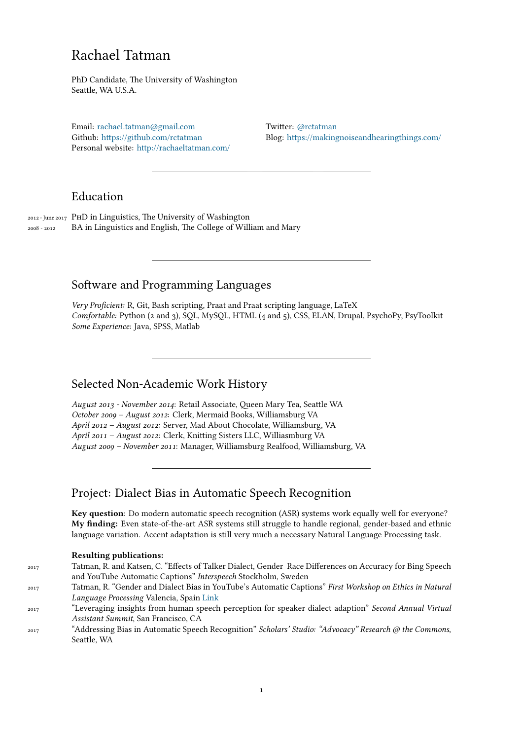# Rachael Tatman

PhD Candidate, The University of Washington Seattle, WA U.S.A.

Email: rachael.tatman@gmail.com Github: https://github.com/rctatman Personal website: http://rachaeltatman.com/ Twitter: @rctatman Blog: https://makingnoiseandhearingthings.com/

### Education

2012 - June 2017 PhD in Linguistics, The University of Washington 2008 - 2012 BA in Linguistics and English, The College of William and Mary

### Software and Programming Languages

*Very Proficient:* R, Git, Bash scripting, Praat and Praat scripting language, LaTeX *Comfortable:* Python (2 and 3), SQL, MySQL, HTML (4 and 5), CSS, ELAN, Drupal, PsychoPy, PsyToolkit *Some Experience:* Java, SPSS, Matlab

## Selected Non-Academic Work History

*August 2013 - November 2014*: Retail Associate, Queen Mary Tea, Seattle WA *October 2009 – August 2012*: Clerk, Mermaid Books, Williamsburg VA *April 2012 – August 2012*: Server, Mad About Chocolate, Williamsburg, VA *April 2011 – August 2012*: Clerk, Knitting Sisters LLC, Williasmburg VA *August 2009 – November 2011*: Manager, Williamsburg Realfood, Williamsburg, VA

### Project: Dialect Bias in Automatic Speech Recognition

**Key question**: Do modern automatic speech recognition (ASR) systems work equally well for everyone? **My finding:** Even state-of-the-art ASR systems still struggle to handle regional, gender-based and ethnic language variation. Accent adaptation is still very much a necessary Natural Language Processing task.

#### **Resulting publications:**

<sup>2017</sup> Tatman, R. and Katsen, C. "Effects of Talker Dialect, Gender Race Differences on Accuracy for Bing Speech and YouTube Automatic Captions" *Interspeech* Stockholm, Sweden

- <sup>2017</sup> Tatman, R. "Gender and Dialect Bias in YouTube's Automatic Captions" *First Workshop on Ethics in Natural Language Processing* Valencia, Spain Link
- <sup>2017</sup> "Leveraging insights from human speech perception for speaker dialect adaption" *Second Annual Virtual Assistant Summit*, San Francisco, CA
- <sup>2017</sup> "Addressing Bias in Automatic Speech Recognition" *Scholars' Studio: "Advocacy" Research @ the Commons*, Seattle, WA